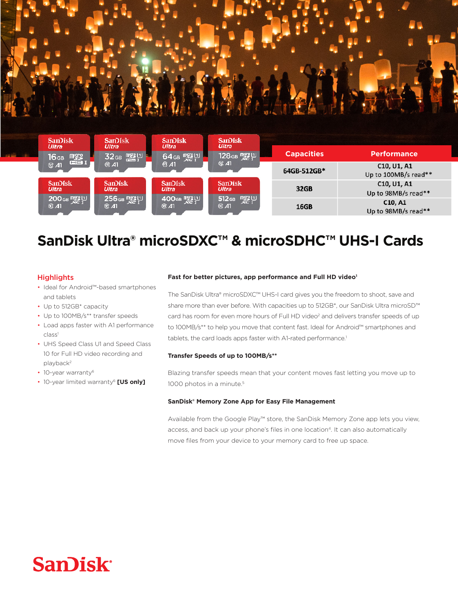



## SanDisk Ultra<sup>®</sup> microSDXC™ & microSDHC™ UHS-I Cards

### **Highlights**

- Ideal for Android™-based smartphones and tablets
- Up to 512 GB\* capacity
- Up to 100MB/s\*\* transfer speeds
- Load apps faster with A1 performance class<sup>1</sup>
- UHS Speed Class U1 and Speed Class 10 for Full HD video recording and playback<sup>2</sup>
- 10-year warranty<sup>6</sup>
- **10-year limited warranty<sup>6</sup> [US only]**

#### Fast for better pictures, app performance and Full HD video<sup>1</sup>

The SanDisk Ultra® microSDXC™ UHS-I card gives you the freedom to shoot, save and share more than ever before. With capacities up to 512GB\*, our SanDisk Ultra microSD<sup>™</sup> card has room for even more hours of Full HD video<sup>2</sup> and delivers transfer speeds of up to 100MB/s\*\* to help you move that content fast. Ideal for Android™ smartphones and tablets, the card loads apps faster with A1-rated performance.<sup>1</sup>

#### Transfer Speeds of up to 100MB/s<sup>\*\*</sup>

Blazing transfer speeds mean that your content moves fast letting you move up to 1000 photos in a minute.<sup>5</sup>

#### SanDisk<sup>®</sup> Memory Zone App for Easy File Management

Available from the Google Play™ store, the SanDisk Memory Zone app lets you view, access, and back up your phone's files in one location<sup>4</sup>. It can also automatically move files from your device to your memory card to free up space.